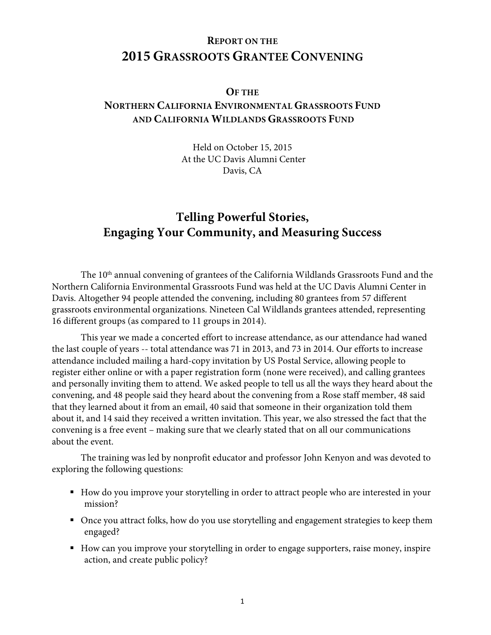# **REPORT ON THE 2015 GRASSROOTS GRANTEE CONVENING**

### **OF THE**

# **NORTHERN CALIFORNIA ENVIRONMENTAL GRASSROOTS FUND AND CALIFORNIA WILDLANDS GRASSROOTS FUND**

Held on October 15, 2015 At the UC Davis Alumni Center Davis, CA

# **Telling Powerful Stories, Engaging Your Community, and Measuring Success**

The 10<sup>th</sup> annual convening of grantees of the California Wildlands Grassroots Fund and the Northern California Environmental Grassroots Fund was held at the UC Davis Alumni Center in Davis. Altogether 94 people attended the convening, including 80 grantees from 57 different grassroots environmental organizations. Nineteen Cal Wildlands grantees attended, representing 16 different groups (as compared to 11 groups in 2014).

This year we made a concerted effort to increase attendance, as our attendance had waned the last couple of years -- total attendance was 71 in 2013, and 73 in 2014. Our efforts to increase attendance included mailing a hard-copy invitation by US Postal Service, allowing people to register either online or with a paper registration form (none were received), and calling grantees and personally inviting them to attend. We asked people to tell us all the ways they heard about the convening, and 48 people said they heard about the convening from a Rose staff member, 48 said that they learned about it from an email, 40 said that someone in their organization told them about it, and 14 said they received a written invitation. This year, we also stressed the fact that the convening is a free event – making sure that we clearly stated that on all our communications about the event.

The training was led by nonprofit educator and professor John Kenyon and was devoted to exploring the following questions:

- How do you improve your storytelling in order to attract people who are interested in your mission?
- Once you attract folks, how do you use storytelling and engagement strategies to keep them engaged?
- How can you improve your storytelling in order to engage supporters, raise money, inspire action, and create public policy?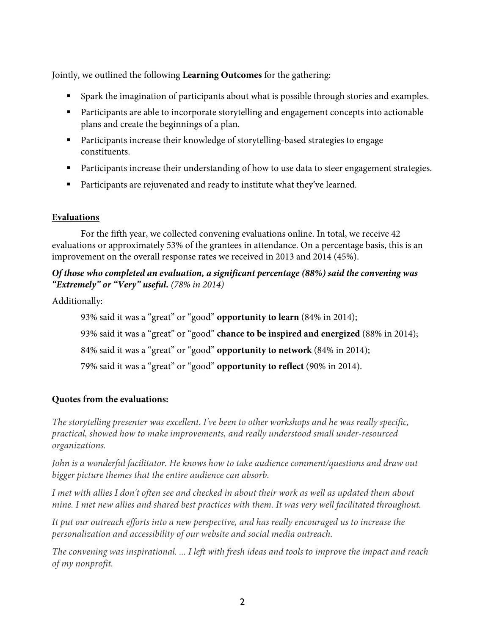Jointly, we outlined the following **Learning Outcomes** for the gathering:

- § Spark the imagination of participants about what is possible through stories and examples.
- Participants are able to incorporate storytelling and engagement concepts into actionable plans and create the beginnings of a plan.
- § Participants increase their knowledge of storytelling-based strategies to engage constituents.
- Participants increase their understanding of how to use data to steer engagement strategies.
- Participants are rejuvenated and ready to institute what they've learned.

### **Evaluations**

For the fifth year, we collected convening evaluations online. In total, we receive 42 evaluations or approximately 53% of the grantees in attendance. On a percentage basis, this is an improvement on the overall response rates we received in 2013 and 2014 (45%).

### *Of those who completed an evaluation, a significant percentage (88%) said the convening was "Extremely" or "Very" useful. (78% in 2014)*

Additionally:

93% said it was a "great" or "good" **opportunity to learn** (84% in 2014); 93% said it was a "great" or "good" **chance to be inspired and energized** (88% in 2014); 84% said it was a "great" or "good" **opportunity to network** (84% in 2014); 79% said it was a "great" or "good" **opportunity to reflect** (90% in 2014).

## **Quotes from the evaluations:**

*The storytelling presenter was excellent. I've been to other workshops and he was really specific, practical, showed how to make improvements, and really understood small under-resourced organizations.*

*John is a wonderful facilitator. He knows how to take audience comment/questions and draw out bigger picture themes that the entire audience can absorb.*

*I met with allies I don't often see and checked in about their work as well as updated them about mine. I met new allies and shared best practices with them. It was very well facilitated throughout.*

*It put our outreach efforts into a new perspective, and has really encouraged us to increase the personalization and accessibility of our website and social media outreach.*

*The convening was inspirational. ... I left with fresh ideas and tools to improve the impact and reach of my nonprofit.*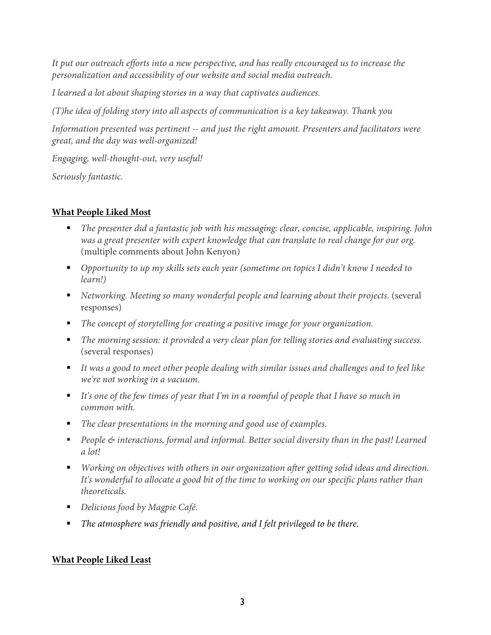*It put our outreach efforts into a new perspective, and has really encouraged us to increase the personalization and accessibility of our website and social media outreach.*

*I learned a lot about shaping stories in a way that captivates audiences.*

*(T)he idea of folding story into all aspects of communication is a key takeaway. Thank you*

*Information presented was pertinent -- and just the right amount. Presenters and facilitators were great, and the day was well-organized!*

*Engaging, well-thought-out, very useful!*

*Seriously fantastic.*

## **What People Liked Most**

- § *The presenter did a fantastic job with his messaging: clear, concise, applicable, inspiring. John was a great presenter with expert knowledge that can translate to real change for our org.*  (multiple comments about John Kenyon)
- Opportunity to up my skills sets each year (sometime on topics I didn't know I needed to *learn!)*
- *Networking. Meeting so many wonderful people and learning about their projects.* (several responses)
- The concept of storytelling for creating a positive image for your organization.
- The morning session: it provided a very clear plan for telling stories and evaluating success. (several responses)
- It was a good to meet other people dealing with similar issues and challenges and to feel like *we're not working in a vacuum.*
- It's one of the few times of year that I'm in a roomful of people that I have so much in *common with.*
- The clear presentations in the morning and good use of examples.
- People & interactions, formal and informal. Better social diversity than in the past! Learned *a lot!*
- *Working on objectives with others in our organization after getting solid ideas and direction. It's wonderful to allocate a good bit of the time to working on our specific plans rather than theoreticals.*
- *Delicious food by Magpie Café.*
- The atmosphere was friendly and positive, and I felt privileged to be there.

## **What People Liked Least**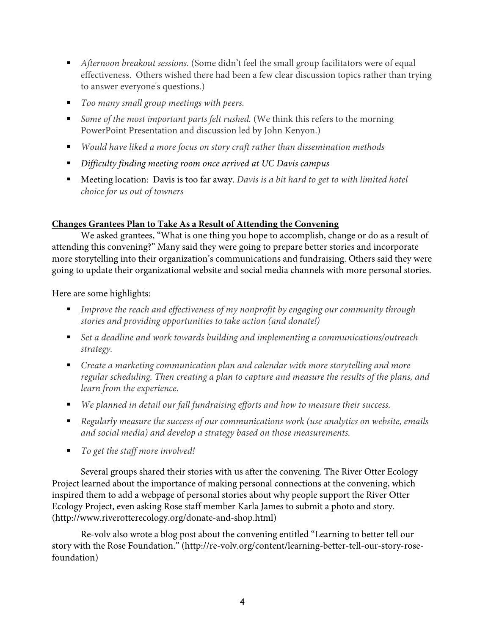- *Afternoon breakout sessions.* (Some didn't feel the small group facilitators were of equal effectiveness. Others wished there had been a few clear discussion topics rather than trying to answer everyone's questions.)
- *Too many small group meetings with peers.*
- *Some of the most important parts felt rushed.* (We think this refers to the morning PowerPoint Presentation and discussion led by John Kenyon.)
- *Would have liked a more focus on story craft rather than dissemination methods*
- § *Difficulty finding meeting room once arrived at UC Davis campus*
- Meeting location: Davis is too far away. *Davis is a bit hard to get to with limited hotel choice for us out of towners*

### **Changes Grantees Plan to Take As a Result of Attending the Convening**

We asked grantees, "What is one thing you hope to accomplish, change or do as a result of attending this convening?" Many said they were going to prepare better stories and incorporate more storytelling into their organization's communications and fundraising. Others said they were going to update their organizational website and social media channels with more personal stories.

Here are some highlights:

- § *Improve the reach and effectiveness of my nonprofit by engaging our community through stories and providing opportunities to take action (and donate!)*
- Set a deadline and work towards building and implementing a communications/outreach *strategy.*
- Create a marketing communication plan and calendar with more storytelling and more *regular scheduling. Then creating a plan to capture and measure the results of the plans, and learn from the experience.*
- *We planned in detail our fall fundraising efforts and how to measure their success.*
- Regularly measure the success of our communications work (use analytics on website, emails *and social media) and develop a strategy based on those measurements.*
- *To get the staff more involved!*

Several groups shared their stories with us after the convening. The River Otter Ecology Project learned about the importance of making personal connections at the convening, which inspired them to add a webpage of personal stories about why people support the River Otter Ecology Project, even asking Rose staff member Karla James to submit a photo and story. (http://www.riverotterecology.org/donate-and-shop.html)

Re-volv also wrote a blog post about the convening entitled "Learning to better tell our story with the Rose Foundation." (http://re-volv.org/content/learning-better-tell-our-story-rosefoundation)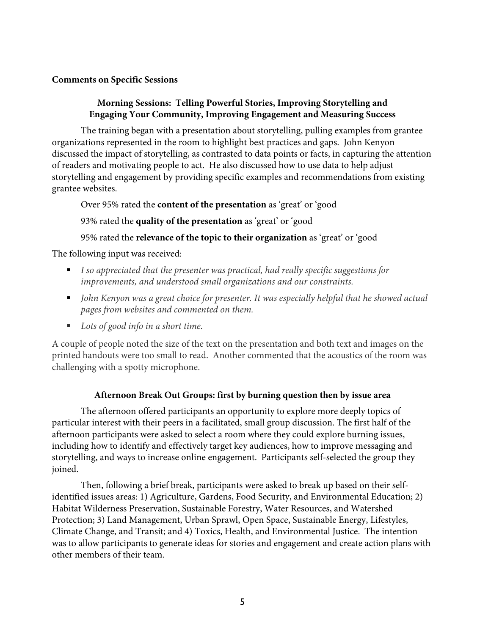#### **Comments on Specific Sessions**

### **Morning Sessions: Telling Powerful Stories, Improving Storytelling and Engaging Your Community, Improving Engagement and Measuring Success**

The training began with a presentation about storytelling, pulling examples from grantee organizations represented in the room to highlight best practices and gaps. John Kenyon discussed the impact of storytelling, as contrasted to data points or facts, in capturing the attention of readers and motivating people to act. He also discussed how to use data to help adjust storytelling and engagement by providing specific examples and recommendations from existing grantee websites.

Over 95% rated the **content of the presentation** as 'great' or 'good

93% rated the **quality of the presentation** as 'great' or 'good

## 95% rated the **relevance of the topic to their organization** as 'great' or 'good

The following input was received:

- *I so appreciated that the presenter was practical, had really specific suggestions for improvements, and understood small organizations and our constraints.*
- *John Kenyon was a great choice for presenter. It was especially helpful that he showed actual pages from websites and commented on them.*
- *Lots of good info in a short time.*

A couple of people noted the size of the text on the presentation and both text and images on the printed handouts were too small to read. Another commented that the acoustics of the room was challenging with a spotty microphone.

### **Afternoon Break Out Groups: first by burning question then by issue area**

The afternoon offered participants an opportunity to explore more deeply topics of particular interest with their peers in a facilitated, small group discussion. The first half of the afternoon participants were asked to select a room where they could explore burning issues, including how to identify and effectively target key audiences, how to improve messaging and storytelling, and ways to increase online engagement. Participants self-selected the group they joined.

Then, following a brief break, participants were asked to break up based on their selfidentified issues areas: 1) Agriculture, Gardens, Food Security, and Environmental Education; 2) Habitat Wilderness Preservation, Sustainable Forestry, Water Resources, and Watershed Protection; 3) Land Management, Urban Sprawl, Open Space, Sustainable Energy, Lifestyles, Climate Change, and Transit; and 4) Toxics, Health, and Environmental Justice. The intention was to allow participants to generate ideas for stories and engagement and create action plans with other members of their team.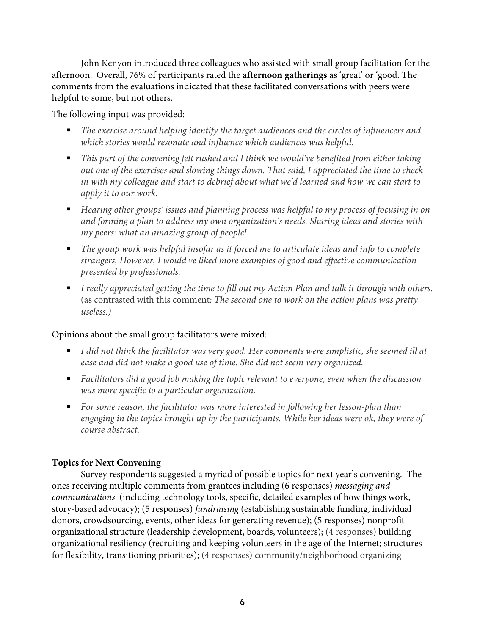John Kenyon introduced three colleagues who assisted with small group facilitation for the afternoon. Overall, 76% of participants rated the **afternoon gatherings** as 'great' or 'good. The comments from the evaluations indicated that these facilitated conversations with peers were helpful to some, but not others.

The following input was provided:

- The exercise around helping identify the target audiences and the circles of influencers and *which stories would resonate and influence which audiences was helpful.*
- This part of the convening felt rushed and I think we would've benefited from either taking *out one of the exercises and slowing things down. That said, I appreciated the time to checkin with my colleague and start to debrief about what we'd learned and how we can start to apply it to our work.*
- *Hearing other groups' issues and planning process was helpful to my process of focusing in on and forming a plan to address my own organization's needs. Sharing ideas and stories with my peers: what an amazing group of people!*
- The group work was helpful insofar as it forced me to articulate ideas and info to complete *strangers, However, I would've liked more examples of good and effective communication presented by professionals.*
- *I really appreciated getting the time to fill out my Action Plan and talk it through with others.* (as contrasted with this comment*: The second one to work on the action plans was pretty useless.)*

## Opinions about the small group facilitators were mixed:

- *I did not think the facilitator was very good. Her comments were simplistic, she seemed ill at ease and did not make a good use of time. She did not seem very organized.*
- Facilitators did a good job making the topic relevant to everyone, even when the discussion *was more specific to a particular organization.*
- For some reason, the facilitator was more interested in following her lesson-plan than *engaging in the topics brought up by the participants. While her ideas were ok, they were of course abstract.*

## **Topics for Next Convening**

Survey respondents suggested a myriad of possible topics for next year's convening. The ones receiving multiple comments from grantees including (6 responses) *messaging and communications* (including technology tools, specific, detailed examples of how things work, story-based advocacy); (5 responses) *fundraising* (establishing sustainable funding, individual donors, crowdsourcing, events, other ideas for generating revenue); (5 responses) nonprofit organizational structure (leadership development, boards, volunteers); (4 responses) building organizational resiliency (recruiting and keeping volunteers in the age of the Internet; structures for flexibility, transitioning priorities); (4 responses) community/neighborhood organizing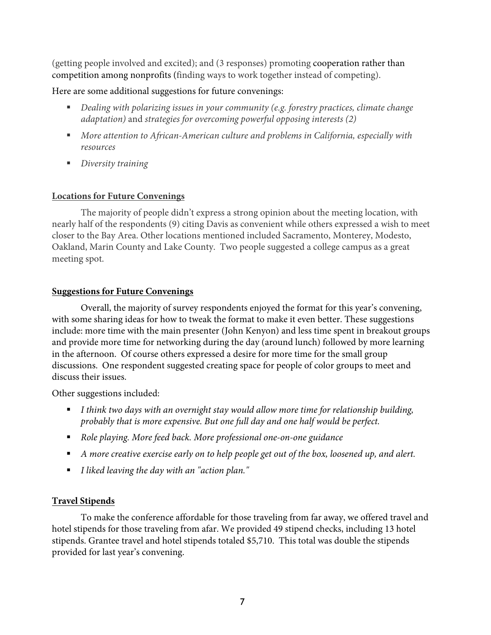(getting people involved and excited); and (3 responses) promoting cooperation rather than competition among nonprofits (finding ways to work together instead of competing).

## Here are some additional suggestions for future convenings:

- *Dealing with polarizing issues in your community (e.g. forestry practices, climate change adaptation)* and *strategies for overcoming powerful opposing interests (2)*
- More attention to African-American culture and problems in California, especially with *resources*
- § *Diversity training*

## **Locations for Future Convenings**

The majority of people didn't express a strong opinion about the meeting location, with nearly half of the respondents (9) citing Davis as convenient while others expressed a wish to meet closer to the Bay Area. Other locations mentioned included Sacramento, Monterey, Modesto, Oakland, Marin County and Lake County. Two people suggested a college campus as a great meeting spot.

## **Suggestions for Future Convenings**

Overall, the majority of survey respondents enjoyed the format for this year's convening, with some sharing ideas for how to tweak the format to make it even better. These suggestions include: more time with the main presenter (John Kenyon) and less time spent in breakout groups and provide more time for networking during the day (around lunch) followed by more learning in the afternoon. Of course others expressed a desire for more time for the small group discussions. One respondent suggested creating space for people of color groups to meet and discuss their issues.

Other suggestions included:

- *I think two days with an overnight stay would allow more time for relationship building, probably that is more expensive. But one full day and one half would be perfect.*
- § *Role playing. More feed back. More professional one-on-one guidance*
- A more creative exercise early on to help people get out of the box, loosened up, and alert.
- § *I liked leaving the day with an "action plan."*

# **Travel Stipends**

To make the conference affordable for those traveling from far away, we offered travel and hotel stipends for those traveling from afar. We provided 49 stipend checks, including 13 hotel stipends. Grantee travel and hotel stipends totaled \$5,710. This total was double the stipends provided for last year's convening.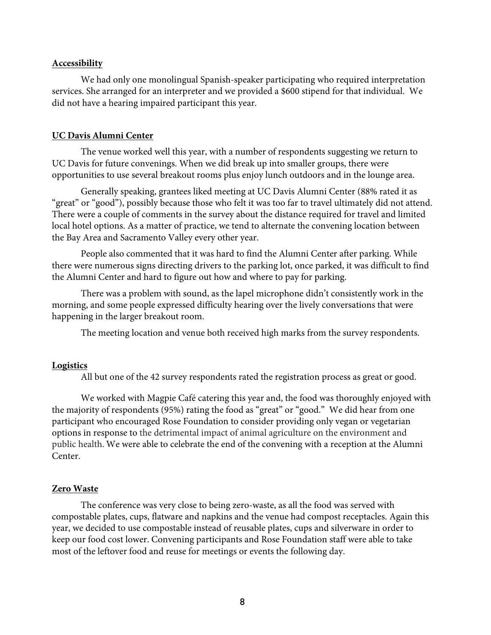#### **Accessibility**

We had only one monolingual Spanish-speaker participating who required interpretation services. She arranged for an interpreter and we provided a \$600 stipend for that individual. We did not have a hearing impaired participant this year.

#### **UC Davis Alumni Center**

The venue worked well this year, with a number of respondents suggesting we return to UC Davis for future convenings. When we did break up into smaller groups, there were opportunities to use several breakout rooms plus enjoy lunch outdoors and in the lounge area.

Generally speaking, grantees liked meeting at UC Davis Alumni Center (88% rated it as "great" or "good"), possibly because those who felt it was too far to travel ultimately did not attend. There were a couple of comments in the survey about the distance required for travel and limited local hotel options. As a matter of practice, we tend to alternate the convening location between the Bay Area and Sacramento Valley every other year.

People also commented that it was hard to find the Alumni Center after parking. While there were numerous signs directing drivers to the parking lot, once parked, it was difficult to find the Alumni Center and hard to figure out how and where to pay for parking.

There was a problem with sound, as the lapel microphone didn't consistently work in the morning, and some people expressed difficulty hearing over the lively conversations that were happening in the larger breakout room.

The meeting location and venue both received high marks from the survey respondents.

#### **Logistics**

All but one of the 42 survey respondents rated the registration process as great or good.

We worked with Magpie Café catering this year and, the food was thoroughly enjoyed with the majority of respondents (95%) rating the food as "great" or "good." We did hear from one participant who encouraged Rose Foundation to consider providing only vegan or vegetarian options in response to the detrimental impact of animal agriculture on the environment and public health. We were able to celebrate the end of the convening with a reception at the Alumni Center.

#### **Zero Waste**

The conference was very close to being zero-waste, as all the food was served with compostable plates, cups, flatware and napkins and the venue had compost receptacles. Again this year, we decided to use compostable instead of reusable plates, cups and silverware in order to keep our food cost lower. Convening participants and Rose Foundation staff were able to take most of the leftover food and reuse for meetings or events the following day.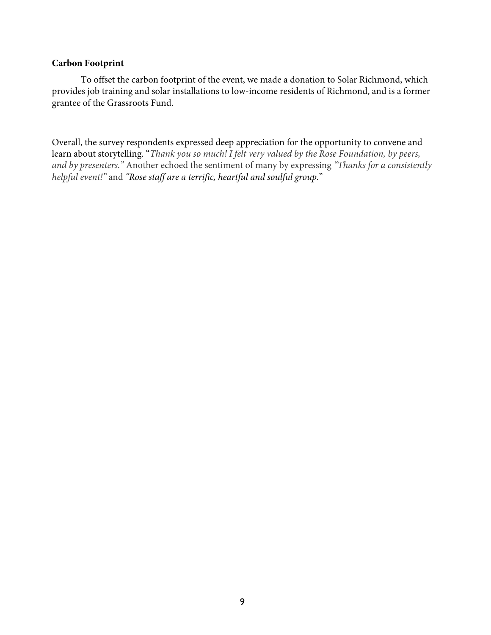#### **Carbon Footprint**

To offset the carbon footprint of the event, we made a donation to Solar Richmond, which provides job training and solar installations to low-income residents of Richmond, and is a former grantee of the Grassroots Fund.

Overall, the survey respondents expressed deep appreciation for the opportunity to convene and learn about storytelling. "*Thank you so much! I felt very valued by the Rose Foundation, by peers, and by presenters."* Another echoed the sentiment of many by expressing *"Thanks for a consistently helpful event!"* and *"Rose staff are a terrific, heartful and soulful group.*"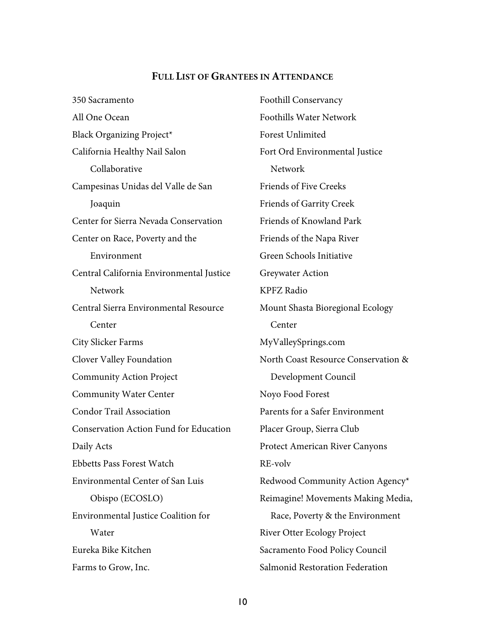#### **FULL LIST OF GRANTEES IN ATTENDANCE**

350 Sacramento All One Ocean Black Organizing Project\* California Healthy Nail Salon Collaborative Campesinas Unidas del Valle de San Joaquin Center for Sierra Nevada Conservation Center on Race, Poverty and the Environment Central California Environmental Justice Network Central Sierra Environmental Resource Center City Slicker Farms Clover Valley Foundation Community Action Project Community Water Center Condor Trail Association Conservation Action Fund for Education Daily Acts Ebbetts Pass Forest Watch Environmental Center of San Luis Obispo (ECOSLO) Environmental Justice Coalition for **Water** Eureka Bike Kitchen Farms to Grow, Inc.

Foothill Conservancy Foothills Water Network Forest Unlimited Fort Ord Environmental Justice Network Friends of Five Creeks Friends of Garrity Creek Friends of Knowland Park Friends of the Napa River Green Schools Initiative Greywater Action KPFZ Radio Mount Shasta Bioregional Ecology Center MyValleySprings.com North Coast Resource Conservation & Development Council Noyo Food Forest Parents for a Safer Environment Placer Group, Sierra Club Protect American River Canyons RE-volv Redwood Community Action Agency\* Reimagine! Movements Making Media, Race, Poverty & the Environment River Otter Ecology Project Sacramento Food Policy Council Salmonid Restoration Federation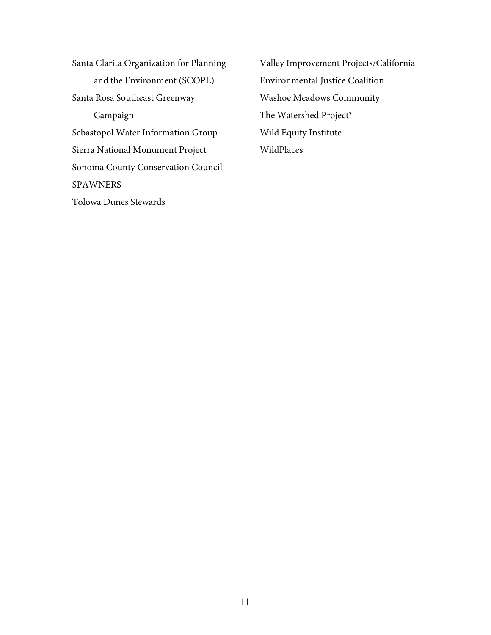Santa Clarita Organization for Planning and the Environment (SCOPE) Santa Rosa Southeast Greenway Campaign Sebastopol Water Information Group Sierra National Monument Project Sonoma County Conservation Council SPAWNERS Tolowa Dunes Stewards

Valley Improvement Projects/California Environmental Justice Coalition Washoe Meadows Community The Watershed Project\* Wild Equity Institute WildPlaces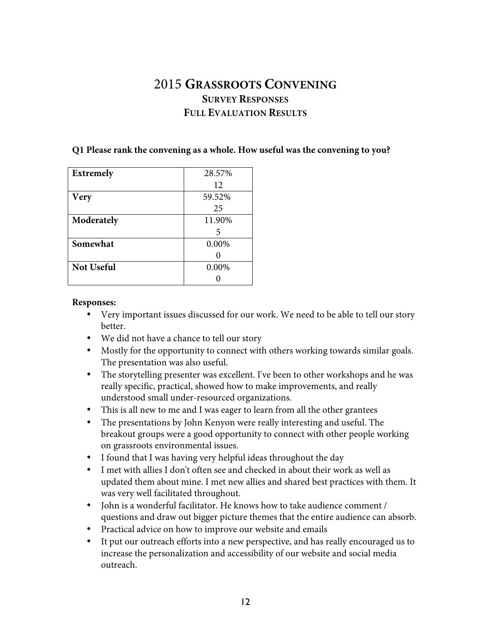# 2015 **GRASSROOTS CONVENING SURVEY RESPONSES FULL EVALUATION RESULTS**

#### **Q1 Please rank the convening as a whole. How useful was the convening to you?**

| <b>Extremely</b>  | 28.57% |
|-------------------|--------|
|                   | 12     |
| <b>Very</b>       | 59.52% |
|                   | 25     |
| Moderately        | 11.90% |
|                   | 5      |
| Somewhat          | 0.00%  |
|                   |        |
| <b>Not Useful</b> | 0.00%  |
|                   |        |

#### **Responses:**

- Very important issues discussed for our work. We need to be able to tell our story better.
- We did not have a chance to tell our story
- Mostly for the opportunity to connect with others working towards similar goals. The presentation was also useful.
- The storytelling presenter was excellent. I've been to other workshops and he was really specific, practical, showed how to make improvements, and really understood small under-resourced organizations.
- This is all new to me and I was eager to learn from all the other grantees
- The presentations by John Kenyon were really interesting and useful. The breakout groups were a good opportunity to connect with other people working on grassroots environmental issues.
- I found that I was having very helpful ideas throughout the day
- I met with allies I don't often see and checked in about their work as well as updated them about mine. I met new allies and shared best practices with them. It was very well facilitated throughout.
- John is a wonderful facilitator. He knows how to take audience comment / questions and draw out bigger picture themes that the entire audience can absorb.
- Practical advice on how to improve our website and emails
- It put our outreach efforts into a new perspective, and has really encouraged us to increase the personalization and accessibility of our website and social media outreach.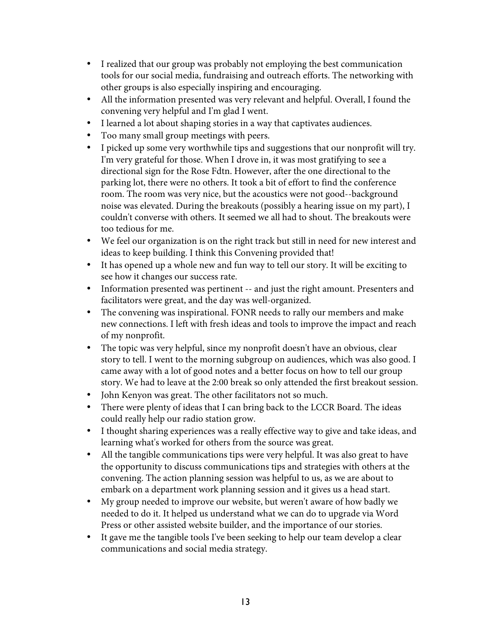- I realized that our group was probably not employing the best communication tools for our social media, fundraising and outreach efforts. The networking with other groups is also especially inspiring and encouraging.
- All the information presented was very relevant and helpful. Overall, I found the convening very helpful and I'm glad I went.
- I learned a lot about shaping stories in a way that captivates audiences.
- Too many small group meetings with peers.
- I picked up some very worthwhile tips and suggestions that our nonprofit will try. I'm very grateful for those. When I drove in, it was most gratifying to see a directional sign for the Rose Fdtn. However, after the one directional to the parking lot, there were no others. It took a bit of effort to find the conference room. The room was very nice, but the acoustics were not good--background noise was elevated. During the breakouts (possibly a hearing issue on my part), I couldn't converse with others. It seemed we all had to shout. The breakouts were too tedious for me.
- We feel our organization is on the right track but still in need for new interest and ideas to keep building. I think this Convening provided that!
- It has opened up a whole new and fun way to tell our story. It will be exciting to see how it changes our success rate.
- Information presented was pertinent -- and just the right amount. Presenters and facilitators were great, and the day was well-organized.
- The convening was inspirational. FONR needs to rally our members and make new connections. I left with fresh ideas and tools to improve the impact and reach of my nonprofit.
- The topic was very helpful, since my nonprofit doesn't have an obvious, clear story to tell. I went to the morning subgroup on audiences, which was also good. I came away with a lot of good notes and a better focus on how to tell our group story. We had to leave at the 2:00 break so only attended the first breakout session.
- John Kenyon was great. The other facilitators not so much.
- There were plenty of ideas that I can bring back to the LCCR Board. The ideas could really help our radio station grow.
- I thought sharing experiences was a really effective way to give and take ideas, and learning what's worked for others from the source was great.
- All the tangible communications tips were very helpful. It was also great to have the opportunity to discuss communications tips and strategies with others at the convening. The action planning session was helpful to us, as we are about to embark on a department work planning session and it gives us a head start.
- My group needed to improve our website, but weren't aware of how badly we needed to do it. It helped us understand what we can do to upgrade via Word Press or other assisted website builder, and the importance of our stories.
- It gave me the tangible tools I've been seeking to help our team develop a clear communications and social media strategy.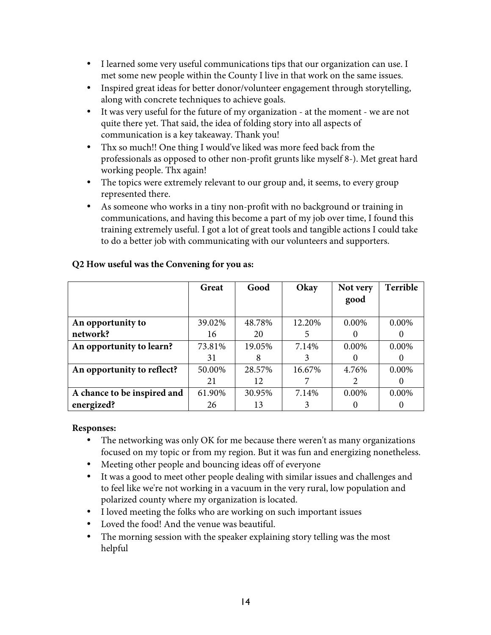- I learned some very useful communications tips that our organization can use. I met some new people within the County I live in that work on the same issues.
- Inspired great ideas for better donor/volunteer engagement through storytelling, along with concrete techniques to achieve goals.
- It was very useful for the future of my organization at the moment we are not quite there yet. That said, the idea of folding story into all aspects of communication is a key takeaway. Thank you!
- Thx so much!! One thing I would've liked was more feed back from the professionals as opposed to other non-profit grunts like myself 8-). Met great hard working people. Thx again!
- The topics were extremely relevant to our group and, it seems, to every group represented there.
- As someone who works in a tiny non-profit with no background or training in communications, and having this become a part of my job over time, I found this training extremely useful. I got a lot of great tools and tangible actions I could take to do a better job with communicating with our volunteers and supporters.

|                             | Great  | Good   | Okay   | Not very | Terrible |
|-----------------------------|--------|--------|--------|----------|----------|
|                             |        |        |        | good     |          |
|                             |        |        |        |          |          |
| An opportunity to           | 39.02% | 48.78% | 12.20% | $0.00\%$ | 0.00%    |
| network?                    | 16     | 20     |        |          |          |
| An opportunity to learn?    | 73.81% | 19.05% | 7.14%  | 0.00%    | 0.00%    |
|                             | 31     |        |        |          |          |
| An opportunity to reflect?  | 50.00% | 28.57% | 16.67% | 4.76%    | 0.00%    |
|                             | 21     | 12     |        | 2        |          |
| A chance to be inspired and | 61.90% | 30.95% | 7.14%  | 0.00%    | 0.00%    |
| energized?                  | 26     | 13     |        |          |          |

## **Q2 How useful was the Convening for you as:**

#### **Responses:**

- The networking was only OK for me because there weren't as many organizations focused on my topic or from my region. But it was fun and energizing nonetheless.
- Meeting other people and bouncing ideas off of everyone
- It was a good to meet other people dealing with similar issues and challenges and to feel like we're not working in a vacuum in the very rural, low population and polarized county where my organization is located.
- I loved meeting the folks who are working on such important issues
- Loved the food! And the venue was beautiful.
- The morning session with the speaker explaining story telling was the most helpful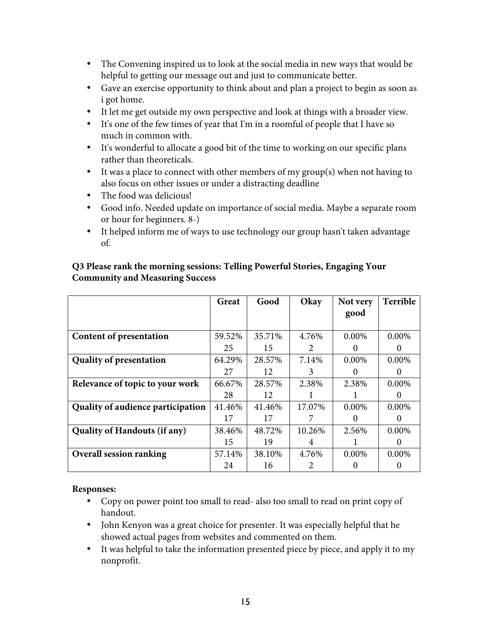- The Convening inspired us to look at the social media in new ways that would be helpful to getting our message out and just to communicate better.
- Gave an exercise opportunity to think about and plan a project to begin as soon as i got home.
- It let me get outside my own perspective and look at things with a broader view.
- It's one of the few times of year that I'm in a roomful of people that I have so much in common with.
- It's wonderful to allocate a good bit of the time to working on our specific plans rather than theoreticals.
- It was a place to connect with other members of my group(s) when not having to also focus on other issues or under a distracting deadline
- The food was delicious!
- Good info. Needed update on importance of social media. Maybe a separate room or hour for beginners. 8-)
- It helped inform me of ways to use technology our group hasn't taken advantage of.

|                                     | Great  | Good   | Okay                  | Not very | Terrible |
|-------------------------------------|--------|--------|-----------------------|----------|----------|
|                                     |        |        |                       | good     |          |
|                                     |        |        |                       |          |          |
| Content of presentation             | 59.52% | 35.71% | 4.76%                 | 0.00%    | $0.00\%$ |
|                                     | 25     | 15     | 2                     |          | $\theta$ |
| <b>Quality of presentation</b>      | 64.29% | 28.57% | 7.14%                 | $0.00\%$ | $0.00\%$ |
|                                     | 27     | 12     | 3                     |          | $\theta$ |
| Relevance of topic to your work     | 66.67% | 28.57% | 2.38%                 | 2.38%    | $0.00\%$ |
|                                     | 28     | 12     |                       |          | $\theta$ |
| Quality of audience participation   | 41.46% | 41.46% | 17.07%                | 0.00%    | $0.00\%$ |
|                                     | 17     | 17     |                       |          | $\theta$ |
| <b>Quality of Handouts (if any)</b> | 38.46% | 48.72% | 10.26%                | 2.56%    | $0.00\%$ |
|                                     | 15     | 19     | 4                     |          | $\theta$ |
| <b>Overall session ranking</b>      | 57.14% | 38.10% | 4.76%                 | $0.00\%$ | $0.00\%$ |
|                                     | 24     | 16     | $\mathcal{D}_{\cdot}$ |          |          |

### **Q3 Please rank the morning sessions: Telling Powerful Stories, Engaging Your Community and Measuring Success**

### **Responses:**

- Copy on power point too small to read- also too small to read on print copy of handout.
- John Kenyon was a great choice for presenter. It was especially helpful that he showed actual pages from websites and commented on them.
- It was helpful to take the information presented piece by piece, and apply it to my nonprofit.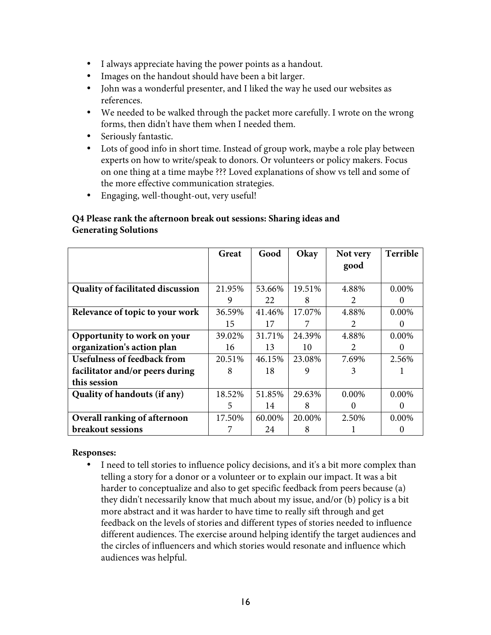- I always appreciate having the power points as a handout.
- Images on the handout should have been a bit larger.
- John was a wonderful presenter, and I liked the way he used our websites as references.
- We needed to be walked through the packet more carefully. I wrote on the wrong forms, then didn't have them when I needed them.
- Seriously fantastic.
- Lots of good info in short time. Instead of group work, maybe a role play between experts on how to write/speak to donors. Or volunteers or policy makers. Focus on one thing at a time maybe ??? Loved explanations of show vs tell and some of the more effective communication strategies.
- Engaging, well-thought-out, very useful!

#### **Q4 Please rank the afternoon break out sessions: Sharing ideas and Generating Solutions**

|                                          | Great  | Good   | Okay   | Not very                    | Terrible |
|------------------------------------------|--------|--------|--------|-----------------------------|----------|
|                                          |        |        |        | good                        |          |
|                                          |        |        |        |                             |          |
| <b>Quality of facilitated discussion</b> | 21.95% | 53.66% | 19.51% | 4.88%                       | 0.00%    |
|                                          | 9      | 22     | 8      | $\mathcal{D}_{\cdot}$       | 0        |
| Relevance of topic to your work          | 36.59% | 41.46% | 17.07% | 4.88%                       | 0.00%    |
|                                          | 15     | 17     |        | $\mathcal{D}_{\mathcal{L}}$ |          |
| Opportunity to work on your              | 39.02% | 31.71% | 24.39% | 4.88%                       | 0.00%    |
| organization's action plan               | 16     | 13     | 10     | $\mathfrak{D}$              | $\theta$ |
| <b>Usefulness of feedback from</b>       | 20.51% | 46.15% | 23.08% | 7.69%                       | 2.56%    |
| facilitator and/or peers during          | 8      | 18     | 9      | 3                           |          |
| this session                             |        |        |        |                             |          |
| Quality of handouts (if any)             | 18.52% | 51.85% | 29.63% | $0.00\%$                    | $0.00\%$ |
|                                          | 5      | 14     | 8      | 0                           | $\theta$ |
| Overall ranking of afternoon             | 17.50% | 60.00% | 20.00% | 2.50%                       | 0.00%    |
| breakout sessions                        |        | 24     | 8      |                             |          |

#### **Responses:**

• I need to tell stories to influence policy decisions, and it's a bit more complex than telling a story for a donor or a volunteer or to explain our impact. It was a bit harder to conceptualize and also to get specific feedback from peers because (a) they didn't necessarily know that much about my issue, and/or (b) policy is a bit more abstract and it was harder to have time to really sift through and get feedback on the levels of stories and different types of stories needed to influence different audiences. The exercise around helping identify the target audiences and the circles of influencers and which stories would resonate and influence which audiences was helpful.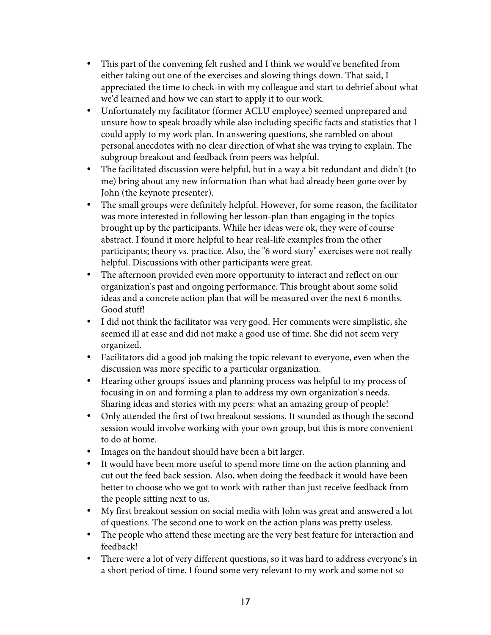- This part of the convening felt rushed and I think we would've benefited from either taking out one of the exercises and slowing things down. That said, I appreciated the time to check-in with my colleague and start to debrief about what we'd learned and how we can start to apply it to our work.
- Unfortunately my facilitator (former ACLU employee) seemed unprepared and unsure how to speak broadly while also including specific facts and statistics that I could apply to my work plan. In answering questions, she rambled on about personal anecdotes with no clear direction of what she was trying to explain. The subgroup breakout and feedback from peers was helpful.
- The facilitated discussion were helpful, but in a way a bit redundant and didn't (to me) bring about any new information than what had already been gone over by John (the keynote presenter).
- The small groups were definitely helpful. However, for some reason, the facilitator was more interested in following her lesson-plan than engaging in the topics brought up by the participants. While her ideas were ok, they were of course abstract. I found it more helpful to hear real-life examples from the other participants; theory vs. practice. Also, the "6 word story" exercises were not really helpful. Discussions with other participants were great.
- The afternoon provided even more opportunity to interact and reflect on our organization's past and ongoing performance. This brought about some solid ideas and a concrete action plan that will be measured over the next 6 months. Good stuff!
- I did not think the facilitator was very good. Her comments were simplistic, she seemed ill at ease and did not make a good use of time. She did not seem very organized.
- Facilitators did a good job making the topic relevant to everyone, even when the discussion was more specific to a particular organization.
- Hearing other groups' issues and planning process was helpful to my process of focusing in on and forming a plan to address my own organization's needs. Sharing ideas and stories with my peers: what an amazing group of people!
- Only attended the first of two breakout sessions. It sounded as though the second session would involve working with your own group, but this is more convenient to do at home.
- Images on the handout should have been a bit larger.
- It would have been more useful to spend more time on the action planning and cut out the feed back session. Also, when doing the feedback it would have been better to choose who we got to work with rather than just receive feedback from the people sitting next to us.
- My first breakout session on social media with John was great and answered a lot of questions. The second one to work on the action plans was pretty useless.
- The people who attend these meeting are the very best feature for interaction and feedback!
- There were a lot of very different questions, so it was hard to address everyone's in a short period of time. I found some very relevant to my work and some not so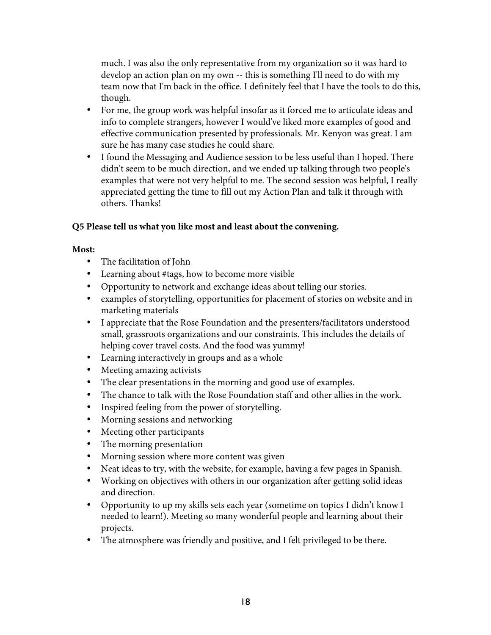much. I was also the only representative from my organization so it was hard to develop an action plan on my own -- this is something I'll need to do with my team now that I'm back in the office. I definitely feel that I have the tools to do this, though.

- For me, the group work was helpful insofar as it forced me to articulate ideas and info to complete strangers, however I would've liked more examples of good and effective communication presented by professionals. Mr. Kenyon was great. I am sure he has many case studies he could share.
- I found the Messaging and Audience session to be less useful than I hoped. There didn't seem to be much direction, and we ended up talking through two people's examples that were not very helpful to me. The second session was helpful, I really appreciated getting the time to fill out my Action Plan and talk it through with others. Thanks!

### **Q5 Please tell us what you like most and least about the convening.**

### **Most:**

- The facilitation of John
- Learning about #tags, how to become more visible
- Opportunity to network and exchange ideas about telling our stories.
- examples of storytelling, opportunities for placement of stories on website and in marketing materials
- I appreciate that the Rose Foundation and the presenters/facilitators understood small, grassroots organizations and our constraints. This includes the details of helping cover travel costs. And the food was yummy!
- Learning interactively in groups and as a whole
- Meeting amazing activists
- The clear presentations in the morning and good use of examples.
- The chance to talk with the Rose Foundation staff and other allies in the work.
- Inspired feeling from the power of storytelling.
- Morning sessions and networking
- Meeting other participants
- The morning presentation
- Morning session where more content was given
- Neat ideas to try, with the website, for example, having a few pages in Spanish.
- Working on objectives with others in our organization after getting solid ideas and direction.
- Opportunity to up my skills sets each year (sometime on topics I didn't know I needed to learn!). Meeting so many wonderful people and learning about their projects.
- The atmosphere was friendly and positive, and I felt privileged to be there.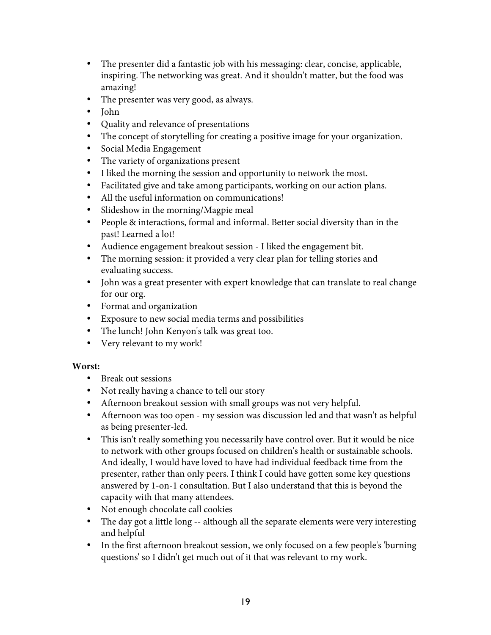- The presenter did a fantastic job with his messaging: clear, concise, applicable, inspiring. The networking was great. And it shouldn't matter, but the food was amazing!
- The presenter was very good, as always.
- John
- Quality and relevance of presentations
- The concept of storytelling for creating a positive image for your organization.
- Social Media Engagement
- The variety of organizations present
- I liked the morning the session and opportunity to network the most.
- Facilitated give and take among participants, working on our action plans.
- All the useful information on communications!
- Slideshow in the morning/Magpie meal
- People & interactions, formal and informal. Better social diversity than in the past! Learned a lot!
- Audience engagement breakout session I liked the engagement bit.
- The morning session: it provided a very clear plan for telling stories and evaluating success.
- John was a great presenter with expert knowledge that can translate to real change for our org.
- Format and organization
- Exposure to new social media terms and possibilities
- The lunch! John Kenyon's talk was great too.
- Very relevant to my work!

#### **Worst:**

- Break out sessions
- Not really having a chance to tell our story
- Afternoon breakout session with small groups was not very helpful.
- Afternoon was too open my session was discussion led and that wasn't as helpful as being presenter-led.
- This isn't really something you necessarily have control over. But it would be nice to network with other groups focused on children's health or sustainable schools. And ideally, I would have loved to have had individual feedback time from the presenter, rather than only peers. I think I could have gotten some key questions answered by 1-on-1 consultation. But I also understand that this is beyond the capacity with that many attendees.
- Not enough chocolate call cookies
- The day got a little long -- although all the separate elements were very interesting and helpful
- In the first afternoon breakout session, we only focused on a few people's 'burning questions' so I didn't get much out of it that was relevant to my work.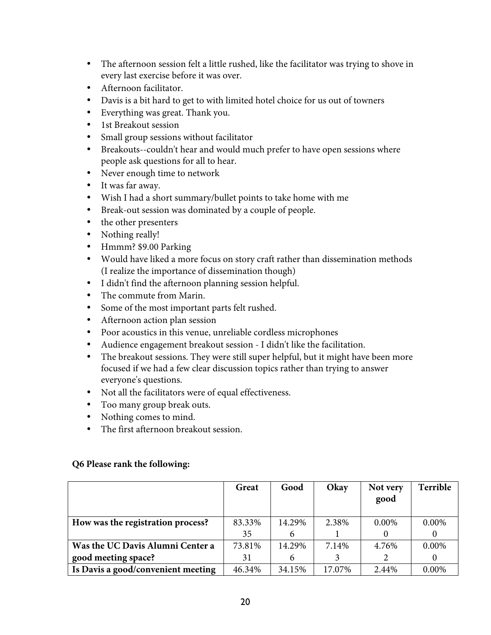- The afternoon session felt a little rushed, like the facilitator was trying to shove in every last exercise before it was over.
- Afternoon facilitator.
- Davis is a bit hard to get to with limited hotel choice for us out of towners
- Everything was great. Thank you.
- 1st Breakout session
- Small group sessions without facilitator
- Breakouts--couldn't hear and would much prefer to have open sessions where people ask questions for all to hear.
- Never enough time to network
- It was far away.
- Wish I had a short summary/bullet points to take home with me
- Break-out session was dominated by a couple of people.
- the other presenters
- Nothing really!
- Hmmm? \$9.00 Parking
- Would have liked a more focus on story craft rather than dissemination methods (I realize the importance of dissemination though)
- I didn't find the afternoon planning session helpful.
- The commute from Marin.
- Some of the most important parts felt rushed.
- Afternoon action plan session
- Poor acoustics in this venue, unreliable cordless microphones
- Audience engagement breakout session I didn't like the facilitation.
- The breakout sessions. They were still super helpful, but it might have been more focused if we had a few clear discussion topics rather than trying to answer everyone's questions.
- Not all the facilitators were of equal effectiveness.
- Too many group break outs.
- Nothing comes to mind.
- The first afternoon breakout session.

#### **Q6 Please rank the following:**

|                                    | Great  | Good   | Okay   | Not very | <b>Terrible</b> |
|------------------------------------|--------|--------|--------|----------|-----------------|
|                                    |        |        |        | good     |                 |
|                                    |        |        |        |          |                 |
| How was the registration process?  | 83.33% | 14.29% | 2.38%  | $0.00\%$ | $0.00\%$        |
|                                    | 35     | 6      |        |          | $\theta$        |
| Was the UC Davis Alumni Center a   | 73.81% | 14.29% | 7.14%  | 4.76%    | 0.00%           |
| good meeting space?                | 31     | 6      |        |          | $\theta$        |
| Is Davis a good/convenient meeting | 46.34% | 34.15% | 17.07% | 2.44%    | $0.00\%$        |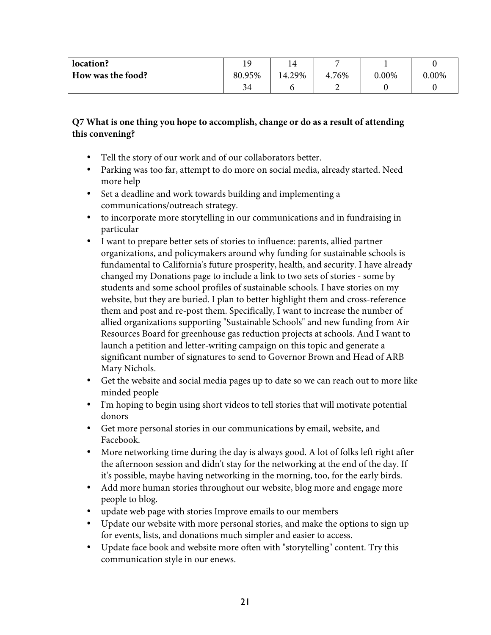| location?         | ഹ .    |        |       |       |          |
|-------------------|--------|--------|-------|-------|----------|
| How was the food? | 80.95% | 14.29% | 4.76% | 0.00% | $0.00\%$ |
|                   | 34     |        |       |       |          |

### **Q7 What is one thing you hope to accomplish, change or do as a result of attending this convening?**

- Tell the story of our work and of our collaborators better.
- Parking was too far, attempt to do more on social media, already started. Need more help
- Set a deadline and work towards building and implementing a communications/outreach strategy.
- to incorporate more storytelling in our communications and in fundraising in particular
- I want to prepare better sets of stories to influence: parents, allied partner organizations, and policymakers around why funding for sustainable schools is fundamental to California's future prosperity, health, and security. I have already changed my Donations page to include a link to two sets of stories - some by students and some school profiles of sustainable schools. I have stories on my website, but they are buried. I plan to better highlight them and cross-reference them and post and re-post them. Specifically, I want to increase the number of allied organizations supporting "Sustainable Schools" and new funding from Air Resources Board for greenhouse gas reduction projects at schools. And I want to launch a petition and letter-writing campaign on this topic and generate a significant number of signatures to send to Governor Brown and Head of ARB Mary Nichols.
- Get the website and social media pages up to date so we can reach out to more like minded people
- I'm hoping to begin using short videos to tell stories that will motivate potential donors
- Get more personal stories in our communications by email, website, and Facebook.
- More networking time during the day is always good. A lot of folks left right after the afternoon session and didn't stay for the networking at the end of the day. If it's possible, maybe having networking in the morning, too, for the early birds.
- Add more human stories throughout our website, blog more and engage more people to blog.
- update web page with stories Improve emails to our members
- Update our website with more personal stories, and make the options to sign up for events, lists, and donations much simpler and easier to access.
- Update face book and website more often with "storytelling" content. Try this communication style in our enews.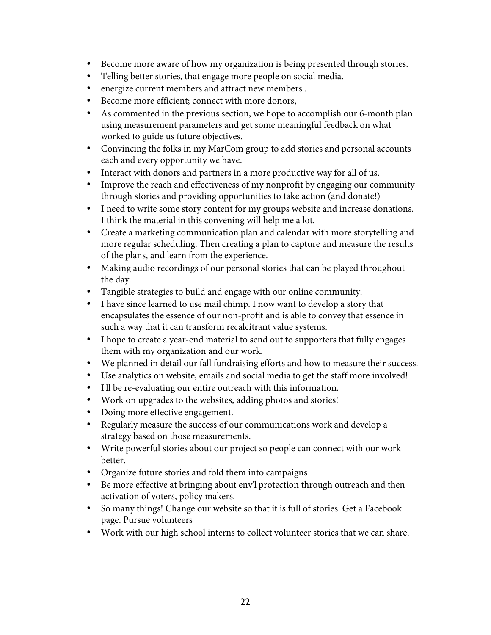- Become more aware of how my organization is being presented through stories.
- Telling better stories, that engage more people on social media.
- energize current members and attract new members .
- Become more efficient; connect with more donors,
- As commented in the previous section, we hope to accomplish our 6-month plan using measurement parameters and get some meaningful feedback on what worked to guide us future objectives.
- Convincing the folks in my MarCom group to add stories and personal accounts each and every opportunity we have.
- Interact with donors and partners in a more productive way for all of us.
- Improve the reach and effectiveness of my nonprofit by engaging our community through stories and providing opportunities to take action (and donate!)
- I need to write some story content for my groups website and increase donations. I think the material in this convening will help me a lot.
- Create a marketing communication plan and calendar with more storytelling and more regular scheduling. Then creating a plan to capture and measure the results of the plans, and learn from the experience.
- Making audio recordings of our personal stories that can be played throughout the day.
- Tangible strategies to build and engage with our online community.
- I have since learned to use mail chimp. I now want to develop a story that encapsulates the essence of our non-profit and is able to convey that essence in such a way that it can transform recalcitrant value systems.
- I hope to create a year-end material to send out to supporters that fully engages them with my organization and our work.
- We planned in detail our fall fundraising efforts and how to measure their success.
- Use analytics on website, emails and social media to get the staff more involved!
- I'll be re-evaluating our entire outreach with this information.
- Work on upgrades to the websites, adding photos and stories!
- Doing more effective engagement.
- Regularly measure the success of our communications work and develop a strategy based on those measurements.
- Write powerful stories about our project so people can connect with our work better.
- Organize future stories and fold them into campaigns
- Be more effective at bringing about env'l protection through outreach and then activation of voters, policy makers.
- So many things! Change our website so that it is full of stories. Get a Facebook page. Pursue volunteers
- Work with our high school interns to collect volunteer stories that we can share.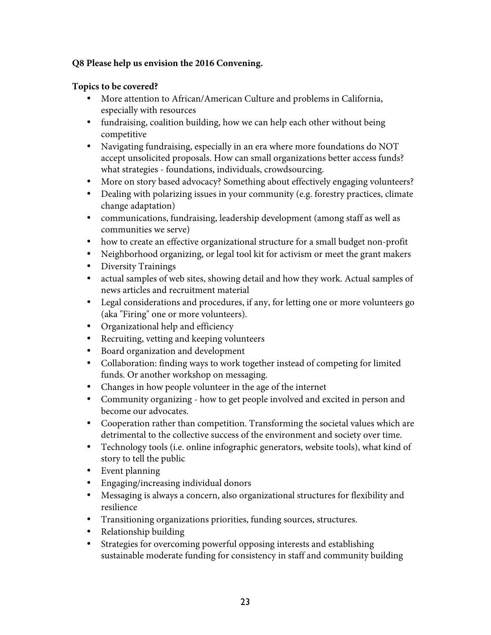### **Q8 Please help us envision the 2016 Convening.**

### **Topics to be covered?**

- More attention to African/American Culture and problems in California, especially with resources
- fundraising, coalition building, how we can help each other without being competitive
- Navigating fundraising, especially in an era where more foundations do NOT accept unsolicited proposals. How can small organizations better access funds? what strategies - foundations, individuals, crowdsourcing.
- More on story based advocacy? Something about effectively engaging volunteers?
- Dealing with polarizing issues in your community (e.g. forestry practices, climate change adaptation)
- communications, fundraising, leadership development (among staff as well as communities we serve)
- how to create an effective organizational structure for a small budget non-profit
- Neighborhood organizing, or legal tool kit for activism or meet the grant makers
- Diversity Trainings
- actual samples of web sites, showing detail and how they work. Actual samples of news articles and recruitment material
- Legal considerations and procedures, if any, for letting one or more volunteers go (aka "Firing" one or more volunteers).
- Organizational help and efficiency
- Recruiting, vetting and keeping volunteers
- Board organization and development
- Collaboration: finding ways to work together instead of competing for limited funds. Or another workshop on messaging.
- Changes in how people volunteer in the age of the internet
- Community organizing how to get people involved and excited in person and become our advocates.
- Cooperation rather than competition. Transforming the societal values which are detrimental to the collective success of the environment and society over time.
- Technology tools (i.e. online infographic generators, website tools), what kind of story to tell the public
- Event planning
- Engaging/increasing individual donors
- Messaging is always a concern, also organizational structures for flexibility and resilience
- Transitioning organizations priorities, funding sources, structures.
- Relationship building
- Strategies for overcoming powerful opposing interests and establishing sustainable moderate funding for consistency in staff and community building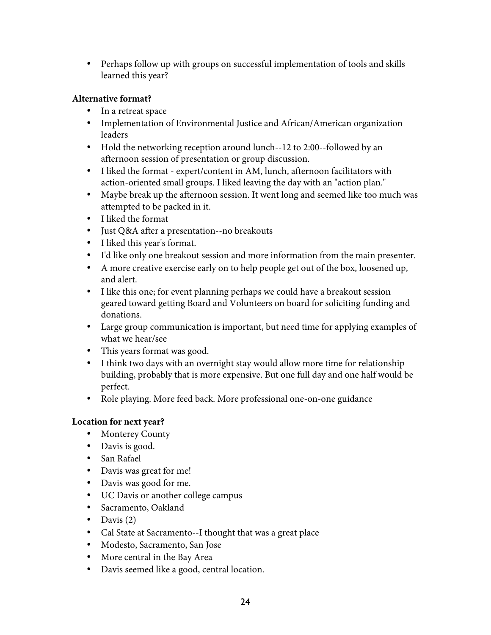• Perhaps follow up with groups on successful implementation of tools and skills learned this year?

## **Alternative format?**

- In a retreat space
- Implementation of Environmental Justice and African/American organization leaders
- Hold the networking reception around lunch--12 to 2:00--followed by an afternoon session of presentation or group discussion.
- I liked the format expert/content in AM, lunch, afternoon facilitators with action-oriented small groups. I liked leaving the day with an "action plan."
- Maybe break up the afternoon session. It went long and seemed like too much was attempted to be packed in it.
- I liked the format
- Just Q&A after a presentation--no breakouts
- I liked this year's format.
- I'd like only one breakout session and more information from the main presenter.
- A more creative exercise early on to help people get out of the box, loosened up, and alert.
- I like this one; for event planning perhaps we could have a breakout session geared toward getting Board and Volunteers on board for soliciting funding and donations.
- Large group communication is important, but need time for applying examples of what we hear/see
- This years format was good.
- I think two days with an overnight stay would allow more time for relationship building, probably that is more expensive. But one full day and one half would be perfect.
- Role playing. More feed back. More professional one-on-one guidance

## **Location for next year?**

- Monterey County
- Davis is good.
- San Rafael
- Davis was great for me!
- Davis was good for me.
- UC Davis or another college campus
- Sacramento, Oakland
- Davis  $(2)$
- Cal State at Sacramento--I thought that was a great place
- Modesto, Sacramento, San Jose
- More central in the Bay Area
- Davis seemed like a good, central location.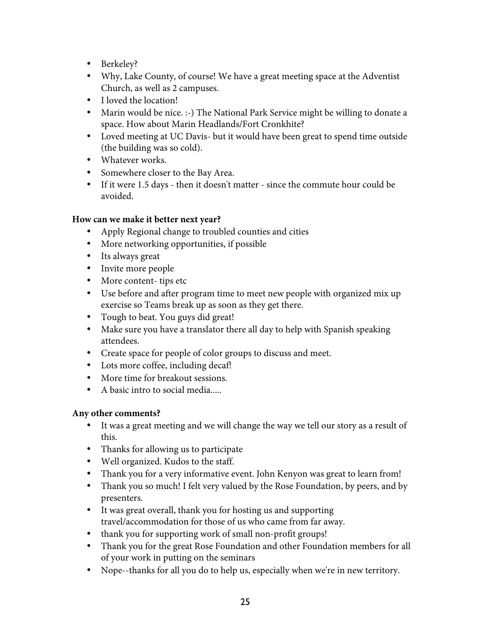- Berkeley?
- Why, Lake County, of course! We have a great meeting space at the Adventist Church, as well as 2 campuses.
- I loved the location!
- Marin would be nice. :-) The National Park Service might be willing to donate a space. How about Marin Headlands/Fort Cronkhite?
- Loved meeting at UC Davis- but it would have been great to spend time outside (the building was so cold).
- Whatever works.
- Somewhere closer to the Bay Area.
- If it were 1.5 days then it doesn't matter since the commute hour could be avoided.

### **How can we make it better next year?**

- Apply Regional change to troubled counties and cities
- More networking opportunities, if possible
- Its always great
- Invite more people
- More content- tips etc
- Use before and after program time to meet new people with organized mix up exercise so Teams break up as soon as they get there.
- Tough to beat. You guys did great!
- Make sure you have a translator there all day to help with Spanish speaking attendees.
- Create space for people of color groups to discuss and meet.
- Lots more coffee, including decaf!
- More time for breakout sessions.
- A basic intro to social media.....

### **Any other comments?**

- It was a great meeting and we will change the way we tell our story as a result of this.
- Thanks for allowing us to participate
- Well organized. Kudos to the staff.
- Thank you for a very informative event. John Kenyon was great to learn from!
- Thank you so much! I felt very valued by the Rose Foundation, by peers, and by presenters.
- It was great overall, thank you for hosting us and supporting travel/accommodation for those of us who came from far away.
- thank you for supporting work of small non-profit groups!
- Thank you for the great Rose Foundation and other Foundation members for all of your work in putting on the seminars
- Nope--thanks for all you do to help us, especially when we're in new territory.